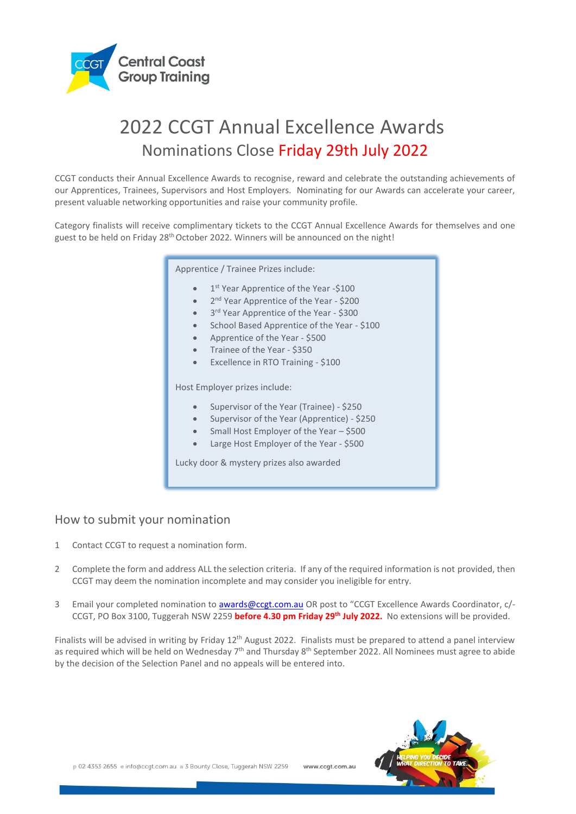

# 2022 CCGT Annual Excellence Awards Nominations Close Friday 29th July 2022

CCGT conducts their Annual Excellence Awards to recognise, reward and celebrate the outstanding achievements of our Apprentices, Trainees, Supervisors and Host Employers. Nominating for our Awards can accelerate your career, present valuable networking opportunities and raise your community profile.

Category finalists will receive complimentary tickets to the CCGT Annual Excellence Awards for themselves and one guest to be held on Friday 28<sup>th</sup> October 2022. Winners will be announced on the night!

Apprentice / Trainee Prizes include:

- 1<sup>st</sup> Year Apprentice of the Year -\$100
- 2<sup>nd</sup> Year Apprentice of the Year \$200
- 3<sup>rd</sup> Year Apprentice of the Year \$300
- School Based Apprentice of the Year \$100
- Apprentice of the Year \$500
- Trainee of the Year \$350
- Excellence in RTO Training \$100

Host Employer prizes include:

- Supervisor of the Year (Trainee) \$250
- Supervisor of the Year (Apprentice) \$250
- Small Host Employer of the Year \$500
- Large Host Employer of the Year \$500

Lucky door & mystery prizes also awarded

#### How to submit your nomination

- 1 Contact CCGT to request a nomination form.
- 2 Complete the form and address ALL the selection criteria. If any of the required information is not provided, then CCGT may deem the nomination incomplete and may consider you ineligible for entry.
- 3 Email your completed nomination to [awards@ccgt.com.au](mailto:awards@ccgt.com.au) OR post to "CCGT Excellence Awards Coordinator, c/- CCGT, PO Box 3100, Tuggerah NSW 2259 **before 4.30 pm Friday 29th July 2022.** No extensions will be provided.

Finalists will be advised in writing by Friday 12<sup>th</sup> August 2022. Finalists must be prepared to attend a panel interview as required which will be held on Wednesday 7<sup>th</sup> and Thursday 8<sup>th</sup> September 2022. All Nominees must agree to abide by the decision of the Selection Panel and no appeals will be entered into.